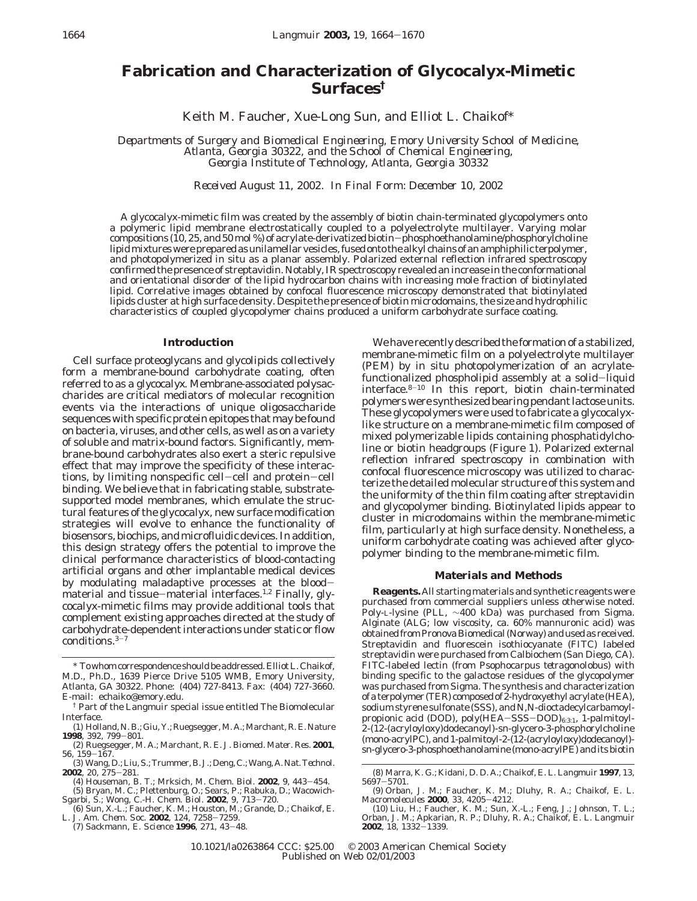# **Fabrication and Characterization of Glycocalyx-Mimetic Surfaces†**

Keith M. Faucher, Xue-Long Sun, and Elliot L. Chaikof\*

*Departments of Surgery and Biomedical Engineering, Emory University School of Medicine, Atlanta, Georgia 30322, and the School of Chemical Engineering, Georgia Institute of Technology, Atlanta, Georgia 30332*

*Received August 11, 2002. In Final Form: December 10, 2002*

A glycocalyx-mimetic film was created by the assembly of biotin chain-terminated glycopolymers onto a polymeric lipid membrane electrostatically coupled to a polyelectrolyte multilayer. Varying molar compositions (10, 25, and 50 mol %) of acrylate-derivatized biotin—phosphoethanolamine/phosphorylcholine<br>lipid mixtures were prepared as unilamellar vesicles, fused onto the alkyl chains of an amphiphilic terpolymer lipid mixtures were prepared as unilamellar vesicles, fused onto the alkyl chains of an amphiphilic terpolymer, and photopolymerized in situ as a planar assembly. Polarized external reflection infrared spectroscopy confirmed the presence of streptavidin. Notably, IR spectroscopy revealed an increase in the conformational and orientational disorder of the lipid hydrocarbon chains with increasing mole fraction of biotinylated lipid. Correlative images obtained by confocal fluorescence microscopy demonstrated that biotinylated lipids cluster at high surface density. Despite the presence of biotin microdomains, the size and hydrophilic characteristics of coupled glycopolymer chains produced a uniform carbohydrate surface coating.

## **Introduction**

Cell surface proteoglycans and glycolipids collectively form a membrane-bound carbohydrate coating, often referred to as a *glycocalyx*. Membrane-associated polysaccharides are critical mediators of molecular recognition events via the interactions of unique oligosaccharide sequences with specific protein epitopes that may be found on bacteria, viruses, and other cells, as well as on a variety of soluble and matrix-bound factors. Significantly, membrane-bound carbohydrates also exert a steric repulsive effect that may improve the specificity of these interactions, by limiting nonspecific cell-cell and protein-cell binding. We believe that in fabricating stable, substratesupported model membranes, which emulate the structural features of the glycocalyx, new surface modification strategies will evolve to enhance the functionality of biosensors, biochips, and microfluidic devices. In addition, this design strategy offers the potential to improve the clinical performance characteristics of blood-contacting artificial organs and other implantable medical devices by modulating maladaptive processes at the bloodmaterial and tissue-material interfaces.<sup>1,2</sup> Finally, glycocalyx-mimetic films may provide additional tools that complement existing approaches directed at the study of carbohydrate-dependent interactions under static or flow conditions.3-<sup>7</sup>

\* To whom correspondence should be addressed. Elliot L. Chaikof, M.D., Ph.D., 1639 Pierce Drive 5105 WMB, Emory University, Atlanta, GA 30322. Phone: (404) 727-8413. Fax: (404) 727-3660. E-mail: echaiko@emory.edu.

We have recently described the formation of a stabilized, membrane-mimetic film on a polyelectrolyte multilayer (PEM) by in situ photopolymerization of an acrylatefunctionalized phospholipid assembly at a solid-liquid interface.8-<sup>10</sup> In this report, biotin chain-terminated polymers were synthesized bearing pendant lactose units. These glycopolymers were used to fabricate a glycocalyxlike structure on a membrane-mimetic film composed of mixed polymerizable lipids containing phosphatidylcholine or biotin headgroups (Figure 1). Polarized external reflection infrared spectroscopy in combination with confocal fluorescence microscopy was utilized to characterize the detailed molecular structure of this system and the uniformity of the thin film coating after streptavidin and glycopolymer binding. Biotinylated lipids appear to cluster in microdomains within the membrane-mimetic film, particularly at high surface density. Nonetheless, a uniform carbohydrate coating was achieved after glycopolymer binding to the membrane-mimetic film.

### **Materials and Methods**

**Reagents.** All starting materials and synthetic reagents were purchased from commercial suppliers unless otherwise noted. Poly-L-lysine (PLL, ∼400 kDa) was purchased from Sigma. Alginate (ALG; low viscosity, ca. 60% mannuronic acid) was obtained from Pronova Biomedical (Norway) and used as received. Streptavidin and fluorescein isothiocyanate (FITC) labeled streptavidin were purchased from Calbiochem (San Diego, CA). FITC-labeled lectin (from *Psophocarpus tetragonolobus*) with binding specific to the galactose residues of the glycopolymer was purchased from Sigma. The synthesis and characterization of a terpolymer (TER) composed of 2-hydroxyethyl acrylate (HEA), sodium styrene sulfonate (SSS), and *N*,*N*-dioctadecylcarbamoylpropionic acid (DOD), poly(HEA-SSS-DOD)<sub>6:3:1</sub>, 1-palmitoyl-2-(12-(acryloyloxy)dodecanoyl)-*sn*-glycero-3-phosphorylcholine (mono-acrylPC), and 1-palmitoyl-2-(12-(acryloyloxy)dodecanoyl)*sn*-glycero-3-phosphoethanolamine (mono-acrylPE) and its biotin

<sup>†</sup> Part of the *Langmuir* special issue entitled The Biomolecular Interface.

<sup>(1)</sup> Holland, N. B.; Giu, Y.; Ruegsegger, M. A.; Marchant, R. E. *Nature* **<sup>1998</sup>**, *<sup>392</sup>*, 799-801.

<sup>(2)</sup> Ruegsegger, M. A.; Marchant, R. E. *J. Biomed. Mater. Res.* **2001**, *<sup>56</sup>*, 159-167. (3) Wang, D.; Liu, S.; Trummer, B. J.; Deng, C.; Wang, A.*Nat. Technol.*

**<sup>2002</sup>**, *<sup>20</sup>*, 275-281. (4) Houseman, B. T.; Mrksich, M. *Chem. Biol.* **<sup>2002</sup>**, *<sup>9</sup>*, 443-454. (5) Bryan, M. C.; Plettenburg, O.; Sears, P.; Rabuka, D.; Wacowich-

Sgarbi, S.; Wong, C.-H. *Chem. Biol.* **2002**, *9*, 713–720.<br>
(6) Sun, X.-L.; Faucher, K. M.; Houston, M.; Grande, D.; Chaikof, E.<br>L. *J. Am. Chem. Soc.* **2002**, *124*, 7258-7259.<br>
(7) Sackmann. F. *Science* **1996**. *271*.

<sup>(7)</sup> Sackmann, E. *Science* **<sup>1996</sup>**, *<sup>271</sup>*, 43-48.

<sup>(8)</sup> Marra, K. G.; Kidani, D. D. A.; Chaikof, E. L. *Langmuir* **1997**, *13*, <sup>5697</sup>-5701. (9) Orban, J. M.; Faucher, K. M.; Dluhy, R. A.; Chaikof, E. L.

*Macromolecules* **<sup>2000</sup>**, *<sup>33</sup>*, 4205-4212. (10) Liu, H.; Faucher, K. M.; Sun, X.-L.; Feng, J.; Johnson, T. L.;

Orban, J. M.; Apkarian, R. P.; Dluhy, R. A.; Chaikof, E. L. *Langmuir* **<sup>2002</sup>**, *<sup>18</sup>*, 1332-1339.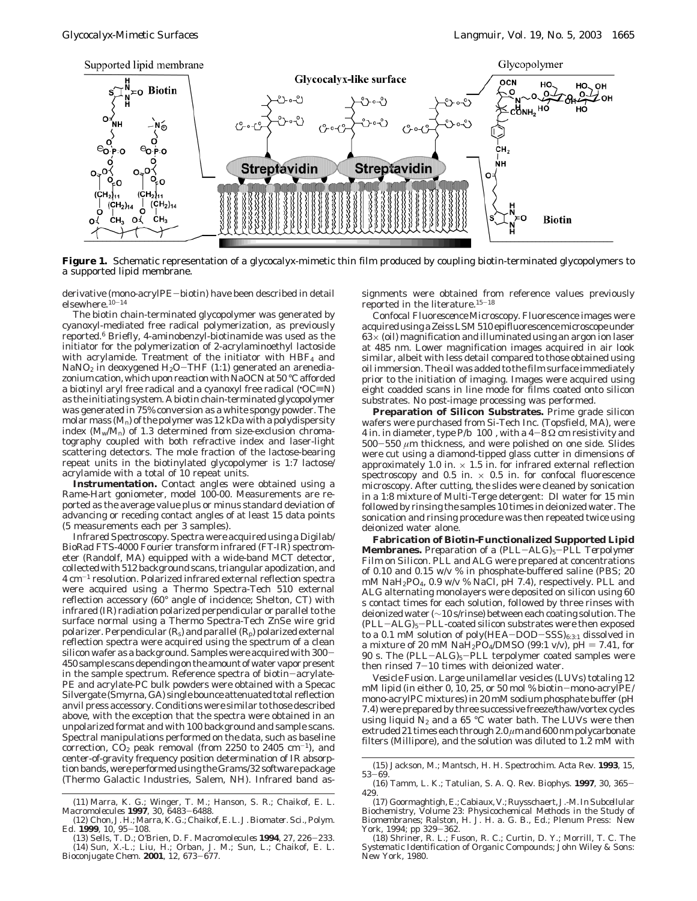

**Figure 1.** Schematic representation of a glycocalyx-mimetic thin film produced by coupling biotin-terminated glycopolymers to a supported lipid membrane.

derivative (mono-acrylPE-biotin) have been described in detail elsewhere.10-<sup>14</sup>

The biotin chain-terminated glycopolymer was generated by cyanoxyl-mediated free radical polymerization, as previously reported.6 Briefly, 4-aminobenzyl-biotinamide was used as the initiator for the polymerization of 2-acrylaminoethyl lactoside with acrylamide. Treatment of the initiator with  $HBF<sub>4</sub>$  and NaNO<sub>2</sub> in deoxygened  $H_2O-THF$  (1:1) generated an arenediazonium cation, which upon reaction with NaOCN at 50 °C afforded a biotinyl aryl free ra $\operatorname{dical}$  and a cyanoxyl free radical ('OC $\equiv$ N) as the initiating system. A biotin chain-terminated glycopolymer was generated in 75% conversion as a white spongy powder. The molar mass  $(M<sub>n</sub>)$  of the polymer was 12 kDa with a polydispersity index  $(M_w/M_n)$  of 1.3 determined from size-exclusion chromatography coupled with both refractive index and laser-light scattering detectors. The mole fraction of the lactose-bearing repeat units in the biotinylated glycopolymer is 1:7 lactose/ acrylamide with a total of 10 repeat units.

**Instrumentation.** *Contact angles* were obtained using a Rame-Hart goniometer, model 100-00. Measurements are reported as the average value plus or minus standard deviation of advancing or receding contact angles of at least 15 data points (5 measurements each per 3 samples).

*Infrared Spectroscopy.* Spectra were acquired using a Digilab/ BioRad FTS-4000 Fourier transform infrared (FT-IR) spectrometer (Randolf, MA) equipped with a wide-band MCT detector, collected with 512 background scans, triangular apodization, and 4 cm-<sup>1</sup> resolution. Polarized infrared external reflection spectra were acquired using a Thermo Spectra-Tech 510 external reflection accessory (60° angle of incidence; Shelton, CT) with infrared (IR) radiation polarized perpendicular or parallel to the surface normal using a Thermo Spectra-Tech ZnSe wire grid polarizer. Perpendicular  $(R_s)$  and parallel  $(R_p)$  polarized external reflection spectra were acquired using the spectrum of a clean silicon wafer as a background. Samples were acquired with  $300-$ 450 sample scans depending on the amount of water vapor present in the sample spectrum. Reference spectra of biotin-acrylate-PE and acrylate-PC bulk powders were obtained with a Specac Silvergate (Smyrna, GA) single bounce attenuated total reflection anvil press accessory. Conditions were similar to those described above, with the exception that the spectra were obtained in an unpolarized format and with 100 background and sample scans. Spectral manipulations performed on the data, such as baseline correction,  $CO<sub>2</sub>$  peak removal (from 2250 to 2405 cm<sup>-1</sup>), and center-of-gravity frequency position determination of IR absorption bands, were performed using the Grams/32 software package (Thermo Galactic Industries, Salem, NH). Infrared band assignments were obtained from reference values previously reported in the literature.15-<sup>18</sup>

*Confocal Fluorescence Microscopy.* Fluorescence images were acquired using a Zeiss LSM 510 epifluorescence microscope under  $63\times$  (oil) magnification and illuminated using an argon ion laser at 485 nm. Lower magnification images acquired in air look similar, albeit with less detail compared to those obtained using oil immersion. The oil was added to the film surface immediately prior to the initiation of imaging. Images were acquired using eight coadded scans in line mode for films coated onto silicon substrates. No post-image processing was performed.

**Preparation of Silicon Substrates.** Prime grade silicon wafers were purchased from Si-Tech Inc. (Topsfield, MA), were 4 in. in diameter, type  $P/b \langle 100 \rangle$ , with a  $4-8 \Omega$  cm resistivity and  $500-550 \ \mu m$  thickness, and were polished on one side. Slides were cut using a diamond-tipped glass cutter in dimensions of approximately 1.0 in.  $\times$  1.5 in. for infrared external reflection spectroscopy and 0.5 in.  $\times$  0.5 in. for confocal fluorescence microscopy. After cutting, the slides were cleaned by sonication in a 1:8 mixture of Multi-Terge detergent: DI water for 15 min followed by rinsing the samples 10 times in deionized water. The sonication and rinsing procedure was then repeated twice using deionized water alone.

**Fabrication of Biotin-Functionalized Supported Lipid Membranes.** *Preparation of a (PLL*-*ALG)5*-*PLL Terpolymer Film on Silicon.* PLL and ALG were prepared at concentrations of 0.10 and 0.15 w/v % in phosphate-buffered saline (PBS; 20 mM NaH2PO4, 0.9 w/v % NaCl, pH 7.4), respectively. PLL and ALG alternating monolayers were deposited on silicon using 60 s contact times for each solution, followed by three rinses with deionized water (∼10 s/rinse) between each coating solution. The (PLL-ALG)5-PLL-coated silicon substrates were then exposed to a 0.1 mM solution of poly(HEA-DOD-SSS) $_{6:3:1}$  dissolved in a mixture of 20 mM  $Na\tilde{H}_2PO_4/DMSO$  (99:1 v/v), pH = 7.41, for 90 s. The  $(PLL-ALG)_5-PLL$  terpolymer coated samples were then rinsed  $7-10$  times with deionized water.

*Vesicle Fusion*. Large unilamellar vesicles (LUVs) totaling 12 mM lipid (in either 0, 10, 25, or 50 mol % biotin-mono-acrylPE/ mono-acrylPC mixtures) in 20 mM sodium phosphate buffer (pH 7.4) were prepared by three successive freeze/thaw/vortex cycles using liquid  $N_2$  and a 65 °C water bath. The LUVs were then extruded 21 times each through 2.0 *µ*m and 600 nm polycarbonate filters (Millipore), and the solution was diluted to 1.2 mM with

<sup>(11)</sup> Marra, K. G.; Winger, T. M.; Hanson, S. R.; Chaikof, E. L. *Macromolecules* **<sup>1997</sup>**, *<sup>30</sup>*, 6483-6488.

<sup>(12)</sup> Chon, J. H.; Marra, K. G.; Chaikof, E. L. *J. Biomater. Sci., Polym.*

*Ed.* **<sup>1999</sup>**, *<sup>10</sup>*, 95-108. (13) Sells, T. D.; O'Brien, D. F. *Macromolecules* **<sup>1994</sup>**, *<sup>27</sup>*, 226-233. (14) Sun, X.-L.; Liu, H.; Orban, J. M.; Sun, L.; Chaikof, E. L. *Bioconjugate Chem.* **<sup>2001</sup>**, *<sup>12</sup>*, 673-677.

<sup>(15)</sup> Jackson, M.; Mantsch, H. H. *Spectrochim. Acta Rev.* **1993**, *15*, <sup>53</sup>-69.

<sup>(16)</sup> Tamm, L. K.; Tatulian, S. A. *Q. Rev. Biophys.* **<sup>1997</sup>**, *<sup>30</sup>*, 365- 429.

<sup>(17)</sup> Goormaghtigh, E.; Cabiaux, V.; Ruysschaert, J.-M. In*Subcellular Biochemistry, Volume 23*: *Physicochemical Methods in the Study of Biomembranes*; Ralston, H. J. H. a. G. B., Ed.; Plenum Press: New

York, 1994; pp 329-362. (18) Shriner, R. L.; Fuson, R. C.; Curtin, D. Y.; Morrill, T. C. *The Systematic Identification of Organic Compounds*; John Wiley & Sons: New York, 1980.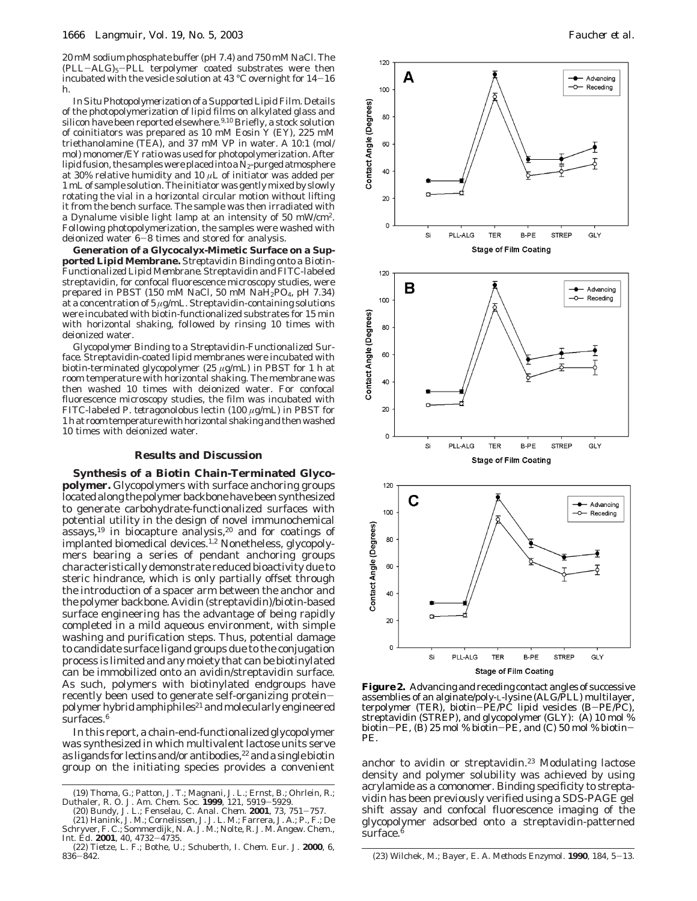20 mM sodium phosphate buffer (pH 7.4) and 750 mM NaCl. The (PLL-ALG)5-PLL terpolymer coated substrates were then incubated with the vesicle solution at 43 °C overnight for  $14-16$ h.

*In Situ Photopolymerization of a Supported Lipid Film.* Details of the photopolymerization of lipid films on alkylated glass and silicon have been reported elsewhere.<sup>9,10</sup> Briefly, a stock solution of coinitiators was prepared as 10 mM Eosin Y (EY), 225 mM triethanolamine (TEA), and 37 mM VP in water. A 10:1 (mol/ mol) monomer/EY ratio was used for photopolymerization. After lipid fusion, the samples were placed into a  $\bar{N}_2$ -purged atmosphere at 30% relative humidity and 10 *µ*L of initiator was added per 1 mL of sample solution. The initiator was gently mixed by slowly rotating the vial in a horizontal circular motion without lifting it from the bench surface. The sample was then irradiated with a Dynalume visible light lamp at an intensity of 50 mW/cm2. Following photopolymerization, the samples were washed with deionized water 6-8 times and stored for analysis.

**Generation of a Glycocalyx-Mimetic Surface on a Supported Lipid Membrane.** *Streptavidin Binding onto a Biotin-Functionalized Lipid Membrane.* Streptavidin and FITC-labeled streptavidin, for confocal fluorescence microscopy studies, were prepared in PBST (150 mM NaCl, 50 mM NaH2PO4, pH 7.34) at a concentration of 5 *µ*g/mL. Streptavidin-containing solutions were incubated with biotin-functionalized substrates for 15 min with horizontal shaking, followed by rinsing 10 times with deionized water.

*Glycopolymer Binding to a Streptavidin-Functionalized Surface.* Streptavidin-coated lipid membranes were incubated with biotin-terminated glycopolymer (25 *µ*g/mL) in PBST for 1 h at room temperature with horizontal shaking. The membrane was then washed 10 times with deionized water. For confocal fluorescence microscopy studies, the film was incubated with FITC-labeled *P. tetragonolobus* lectin (100 *µ*g/mL) in PBST for 1 h at room temperature with horizontal shaking and then washed 10 times with deionized water.

#### **Results and Discussion**

**Synthesis of a Biotin Chain-Terminated Glycopolymer.** Glycopolymers with surface anchoring groups located along the polymer backbone have been synthesized to generate carbohydrate-functionalized surfaces with potential utility in the design of novel immunochemical  $assays$ ,<sup>19</sup> in biocapture analysis,<sup>20</sup> and for coatings of implanted biomedical devices.<sup>1,2</sup> Nonetheless, glycopolymers bearing a series of pendant anchoring groups characteristically demonstrate reduced bioactivity due to steric hindrance, which is only partially offset through the introduction of a spacer arm between the anchor and the polymer backbone. Avidin (streptavidin)/biotin-based surface engineering has the advantage of being rapidly completed in a mild aqueous environment, with simple washing and purification steps. Thus, potential damage to candidate surface ligand groups due to the conjugation process is limited and any moiety that can be biotinylated can be immobilized onto an avidin/streptavidin surface. As such, polymers with biotinylated endgroups have recently been used to generate self-organizing proteinpolymer hybrid amphiphiles<sup>21</sup> and molecularly engineered surfaces.<sup>6</sup>

In this report, a chain-end-functionalized glycopolymer was synthesized in which multivalent lactose units serve as ligands for lectins and/or antibodies,<sup>22</sup> and a single biotin group on the initiating species provides a convenient anchor to avidin or streptavidin.<sup>23</sup> Modulating lactose

(20) Bundy, J. L.; Fenselau, C. *Anal. Chem.* **<sup>2001</sup>**, *<sup>73</sup>*, 751-757. (21) Hanink, J. M.; Cornelissen, J. J. L. M.; Farrera, J. A.; P., F.; De



**Figure 2.** Advancing and receding contact angles of successive assemblies of an alginate/poly-L-lysine (ALG/PLL) multilayer, terpolymer (TER), biotin-PE/PC lipid vesicles (B-PE/PC), streptavidin (STREP), and glycopolymer (GLY): (A) 10 mol % biotin-PE, (B) 25 mol % biotin-PE, and (C) 50 mol % biotin-PE.

density and polymer solubility was achieved by using acrylamide as a comonomer. Binding specificity to streptavidin has been previously verified using a SDS-PAGE gel shift assay and confocal fluorescence imaging of the glycopolymer adsorbed onto a streptavidin-patterned surface.<sup>6</sup>

<sup>(19)</sup> Thoma, G.; Patton, J. T.; Magnani, J. L.; Ernst, B.; Ohrlein, R.; Duthaler, R. O. *J. Am. Chem. Soc.* **<sup>1999</sup>**, *<sup>121</sup>*, 5919-5929.

Schryver, F. C.; Sommerdijk, N. A. J. M.; Nolte, R. J. M. *Angew. Chem.,*

*Int. Ed.* **<sup>2001</sup>**, *<sup>40</sup>*, 4732-4735. (22) Tietze, L. F.; Bothe, U.; Schuberth, I. *Chem. Eur. J.* **2000**, *6*,

<sup>836</sup>-842. (23) Wilchek, M.; Bayer, E. A. *Methods Enzymol.* **<sup>1990</sup>**, *<sup>184</sup>*, 5-13.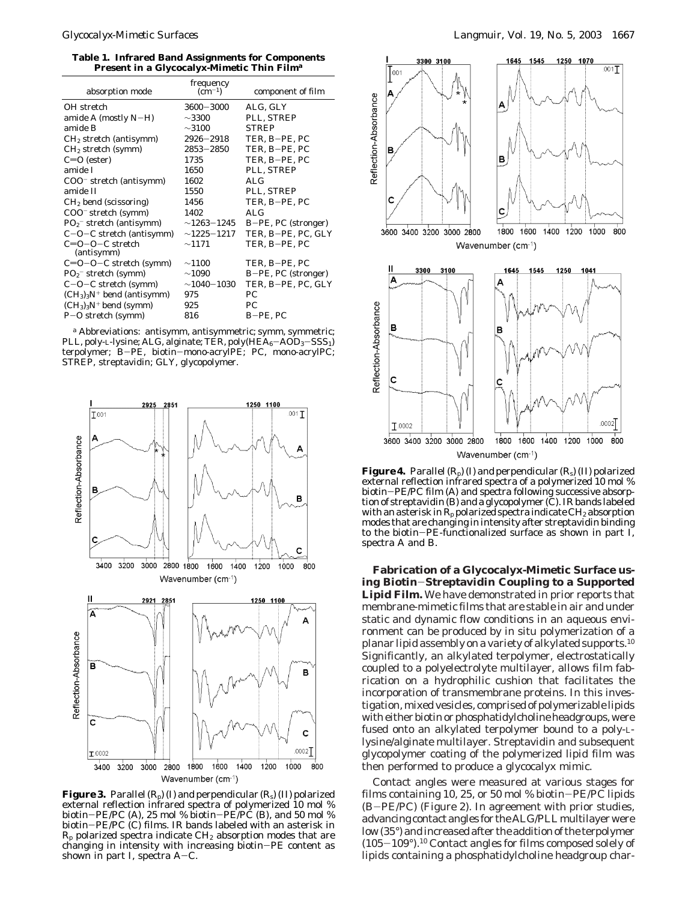**Table 1. Infrared Band Assignments for Components Present in a Glycocalyx-Mimetic Thin Film***<sup>a</sup>*

| absorption mode                     | frequency<br>$\left( \text{cm}^{-1} \right)$ | component of film   |
|-------------------------------------|----------------------------------------------|---------------------|
| OH stretch                          | $3600 - 3000$                                | ALG, GLY            |
| amide A (mostly $N-H$ )             | ${\sim}3300$                                 | PLL, STREP          |
| amide B                             | $\sim$ 3100                                  | <b>STREP</b>        |
| $CH2$ stretch (antisymm)            | $2926 - 2918$                                | TER, B-PE, PC       |
| $CH2$ stretch (symm)                | $2853 - 2850$                                | TER, B-PE, PC       |
| $C=O$ (ester)                       | 1735                                         | TER, B-PE, PC       |
| amide I                             | 1650                                         | PLL, STREP          |
| COO <sup>-</sup> stretch (antisymm) | 1602                                         | AI.G                |
| amide II                            | 1550                                         | PLL, STREP          |
| $CH2$ bend (scissoring)             | 1456                                         | TER, B-PE, PC       |
| COO <sup>-</sup> stretch (symm)     | 1402                                         | AI.G                |
| $PO2$ stretch (antisymm)            | $\sim$ 1263 $-$ 1245                         | B-PE, PC (stronger) |
| $C-O-C$ stretch (antisymm)          | $\sim$ 1225-1217                             | TER, B-PE, PC, GLY  |
| $C=O-O-C$ stretch<br>(antisymm)     | $\sim$ 1171                                  | TER, B-PE, PC       |
| $C=O-O-C$ stretch (symm)            | $\sim$ 1100                                  | TER, B-PE, PC       |
| $PO2$ stretch (symm)                | $\sim$ 1090                                  | B-PE, PC (stronger) |
| $C-O-C$ stretch (symm)              | $\sim$ 1040 $-$ 1030 $^{-}$                  | TER, B-PE, PC, GLY  |
| $(CH3)3N+$ bend (antisymm)          | 975                                          | PC.                 |
| $(CH3)3N+$ bend (symm)              | 925                                          | PC.                 |
| $P-O$ stretch (symm)                | 816                                          | B-PE, PC            |

*<sup>a</sup>* Abbreviations: antisymm, antisymmetric; symm, symmetric; PLL, poly-L-lysine; ALG, alginate; TER, poly $(HEA_6 - AOD_3 - SSS_1)$ terpolymer; B-PE, biotin-mono-acrylPE; PC, mono-acrylPC; STREP, streptavidin; GLY, glycopolymer.



**Figure 3.** Parallel  $(R_p)$  (I) and perpendicular  $(R_s)$  (II) polarized external reflection infrared spectra of polymerized 10 mol % biotin–PE/PC (A), 25 mol % biotin–PE/PC (B), and 50 mol %<br>biotin–PF/PC (C) films. IR bands labeled with an asterisk in biotin-PE/PC (C) films. IR bands labeled with an asterisk in  $R_p$  polarized spectra indicate  $CH_2$  absorption modes that are changing in intensity with increasing biotin-PE content as shown in part I, spectra  $A-C$ .



**Figure 4.** Parallel  $(R_n)$  (I) and perpendicular  $(R_s)$  (II) polarized external reflection infrared spectra of a polymerized 10 mol % biotin-PE/PC film (A) and spectra following successive absorption of streptavidin (B) and a glycopolymer (C). IR bands labeled with an asterisk in  $R_p$  polarized spectra indicate CH<sub>2</sub> absorption modes that are changing in intensity after streptavidin binding to the biotin-PE-functionalized surface as shown in part I, spectra A and B.

**Fabrication of a Glycocalyx-Mimetic Surface using Biotin**-**Streptavidin Coupling to a Supported Lipid Film.** We have demonstrated in prior reports that membrane-mimetic films that are stable in air and under static and dynamic flow conditions in an aqueous environment can be produced by in situ polymerization of a planar lipid assembly on a variety of alkylated supports.10 Significantly, an alkylated terpolymer, electrostatically coupled to a polyelectrolyte multilayer, allows film fabrication on a hydrophilic cushion that facilitates the incorporation of transmembrane proteins. In this investigation, mixed vesicles, comprised of polymerizable lipids with either biotin or phosphatidylcholine headgroups, were fused onto an alkylated terpolymer bound to a poly-Llysine/alginate multilayer. Streptavidin and subsequent glycopolymer coating of the polymerized lipid film was then performed to produce a glycocalyx mimic.

Contact angles were measured at various stages for films containing 10, 25, or 50 mol % biotin-PE/PC lipids (B-PE/PC) (Figure 2). In agreement with prior studies, advancing contact angles for the ALG/PLL multilayer were low (35°) and increased after the addition of the terpolymer  $(105-109^{\circ})$ .<sup>10</sup> Contact angles for films composed solely of lipids containing a phosphatidylcholine headgroup char-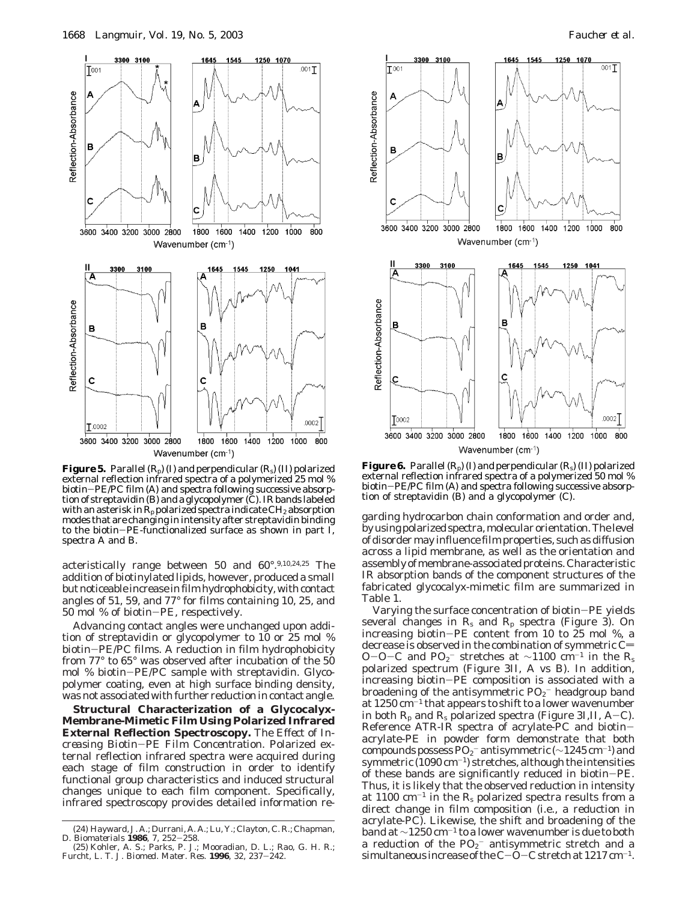

**Figure 5.** Parallel (Rp) (I) and perpendicular (Rs) (II) polarized external reflection infrared spectra of a polymerized 25 mol % biotin-PE/PC film (A) and spectra following successive absorption of streptavidin (B) and a glycopolymer (C). IR bands labeled with an asterisk in  $R_p$  polarized spectra indicate CH<sub>2</sub> absorption modes that are changing in intensity after streptavidin binding to the biotin-PE-functionalized surface as shown in part I, spectra A and B.

acteristically range between 50 and 60°.9,10,24,25 The addition of biotinylated lipids, however, produced a small but noticeable increase in film hydrophobicity, with contact angles of 51, 59, and 77° for films containing 10, 25, and 50 mol % of biotin-PE, respectively.

Advancing contact angles were unchanged upon addition of streptavidin or glycopolymer to 10 or 25 mol % biotin-PE/PC films. A reduction in film hydrophobicity from 77° to 65° was observed after incubation of the 50 mol % biotin-PE/PC sample with streptavidin. Glycopolymer coating, even at high surface binding density, was not associated with further reduction in contact angle.

**Structural Characterization of a Glycocalyx-Membrane-Mimetic Film Using Polarized Infrared External Reflection Spectroscopy.** *The Effect of Increasing Biotin*-*PE Film Concentration.* Polarized external reflection infrared spectra were acquired during each stage of film construction in order to identify functional group characteristics and induced structural changes unique to each film component. Specifically, infrared spectroscopy provides detailed information re-



**Figure 6.** Parallel  $(R_p)$  (I) and perpendicular  $(R_s)$  (II) polarized external reflection infrared spectra of a polymerized 50 mol % biotin-PE/PC film (A) and spectra following successive absorption of streptavidin (B) and a glycopolymer (C).

garding hydrocarbon chain conformation and order and, by using polarized spectra, molecular orientation. The level of disorder may influence film properties, such as diffusion across a lipid membrane, as well as the orientation and assembly of membrane-associated proteins. Characteristic IR absorption bands of the component structures of the fabricated glycocalyx-mimetic film are summarized in Table 1.

Varying the surface concentration of biotin-PE yields several changes in  $R_s$  and  $R_p$  spectra (Figure 3). On increasing biotin-PE content from 10 to 25 mol %, a decrease is observed in the combination of symmetric  $C=$ O-O-C and  $PQ_2$ <sup>-</sup> stretches at ~1100 cm<sup>-1</sup> in the R<sub>s</sub> notatived spectrum (Figure 3H, A vs B). In addition polarized spectrum (Figure 3II, A vs B). In addition, increasing biotin-PE composition is associated with a broadening of the antisymmetric  $\mathrm{PO}_2^-$  headgroup band at  $1250 \text{ cm}^{-1}$  that appears to shift to a lower wavenumber in both  $R_p$  and  $R_s$  polarized spectra (Figure 3I,II, A-C). Reference ATR-IR spectra of acrylate-PC and biotinacrylate-PE in powder form demonstrate that both compounds possess  $PQ_2^-$  antisymmetric ( $\sim$ 1245 cm<sup>-1</sup>) and symmetric  $(1090 \text{ cm}^{-1})$  stretches, although the intensities of these bands are significantly reduced in biotin-PE. Thus, it is likely that the observed reduction in intensity at 1100  $\rm cm^{-1}$  in the  $\rm R_s$  polarized spectra results from a direct change in film composition (i.e., a reduction in acrylate-PC). Likewise, the shift and broadening of the band at ∼1250 cm-<sup>1</sup> to a lower wavenumber is due to both a reduction of the  $PO_2^-$  antisymmetric stretch and a simultaneous increase of the  $C-\overline{O}-C$  stretch at 1217 cm<sup>-1</sup>.

<sup>(24)</sup> Hayward, J. A.; Durrani, A. A.; Lu, Y.; Clayton, C. R.; Chapman, D. Biomaterials 1986, 7, 252-258.

D. *Biomaterials* **<sup>1986</sup>**, *<sup>7</sup>*, 252-258. (25) Kohler, A. S.; Parks, P. J.; Mooradian, D. L.; Rao, G. H. R.; Furcht, L. T. *J. Biomed. Mater. Res.* **<sup>1996</sup>**, *<sup>32</sup>*, 237-242.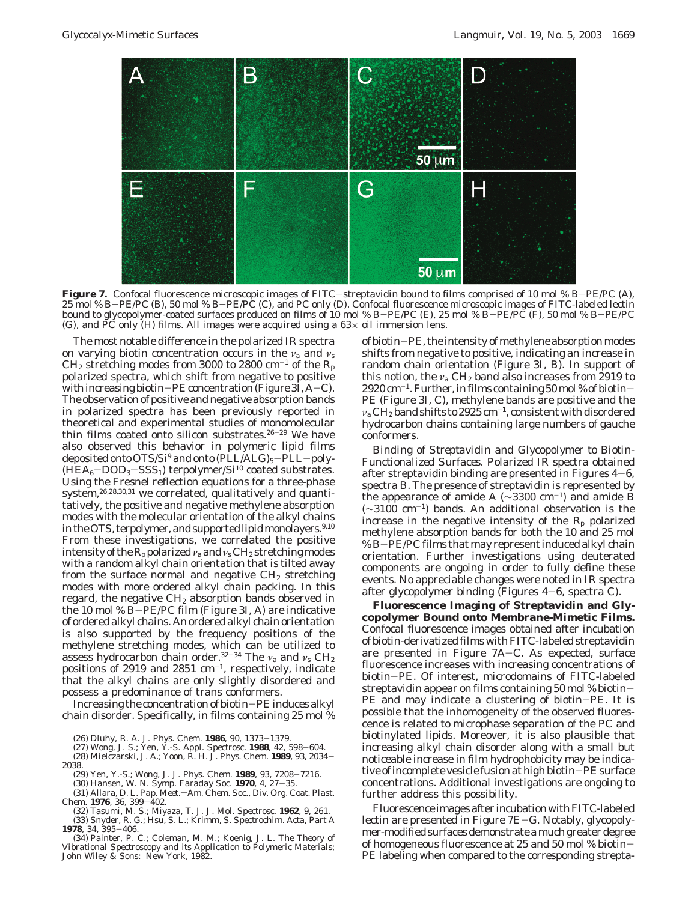

Figure 7. Confocal fluorescence microscopic images of FITC-streptavidin bound to films comprised of 10 mol % B-PE/PC (A), 25 mol % B-PE/PC (B), 50 mol % B-PE/PC (C), and PC only (D). Confocal fluorescence microscopic images of FITC-labeled lectin bound to glycopolymer-coated surfaces produced on films of 10 mol % B-PE/PC (E), 25 mol % B-PE/PC (F), 50 mol % B-PE/PC (G), and PC only (H) films. All images were acquired using a  $63\times$  oil immersion lens.

The most notable difference in the polarized IR spectra on varying biotin concentration occurs in the *ν*<sup>a</sup> and *ν*<sup>s</sup>  $CH<sub>2</sub>$  stretching modes from 3000 to 2800 cm<sup>-1</sup> of the R<sub>p</sub> polarized spectra, which shift from negative to positive with increasing biotin-PE concentration (Figure 3I, A-C). The observation of positive and negative absorption bands in polarized spectra has been previously reported in theoretical and experimental studies of monomolecular thin films coated onto silicon substrates.<sup>26-29</sup> We have also observed this behavior in polymeric lipid films deposited onto OTS/Si<sup>9</sup> and onto  $(PLL/ALG)_5-PLL-poly (HEA_6-DOD_3-SSS_1)$  terpolymer/Si<sup>10</sup> coated substrates. Using the Fresnel reflection equations for a three-phase system,<sup>26,28,30,31</sup> we correlated, qualitatively and quantitatively, the positive and negative methylene absorption modes with the molecular orientation of the alkyl chains in the OTS, terpolymer, and supported lipid monolayers.<sup>9,10</sup> From these investigations, we correlated the positive intensity of the  $R_p$  polarized  $\nu_a$  and  $\nu_s$  CH<sub>2</sub> stretching modes with a random alkyl chain orientation that is tilted away from the surface normal and negative  $CH<sub>2</sub>$  stretching modes with more ordered alkyl chain packing. In this regard, the negative CH<sub>2</sub> absorption bands observed in the 10 mol % B-PE/PC film (Figure 3I, A) are indicative of ordered alkyl chains. An ordered alkyl chain orientation is also supported by the frequency positions of the methylene stretching modes, which can be utilized to assess hydrocarbon chain order.32-<sup>34</sup> The *ν*<sup>a</sup> and *ν*<sup>s</sup> CH2 positions of 2919 and 2851  $\text{cm}^{-1}$ , respectively, indicate that the alkyl chains are only slightly disordered and possess a predominance of trans conformers.

Increasing the concentration of biotin-PE induces alkyl chain disorder. Specifically, in films containing 25 mol %

- (29) Yen, Y.-S.; Wong, J. *J. Phys. Chem.* **<sup>1989</sup>**, *<sup>93</sup>*, 7208-7216. (30) Hansen, W. N. *Symp. Faraday Soc.* **<sup>1970</sup>**, *<sup>4</sup>*, 27-35.
- (31) Allara, D. L. *Pap. Meet.* $-Am$ . Chem. Soc., Div. Org. Coat. Plast.<br>Chem. **1976**, 36, 399-402.
- *Chem.* **<sup>1976</sup>**, *<sup>36</sup>*, 399-402. (32) Tasumi, M. S.; Miyaza, T. J. *J. Mol. Spectrosc.* **1962**, *9*, 261. (33) Snyder, R. G.; Hsu, S. L.; Krimm, S. *Spectrochim. Acta, Part A* **<sup>1978</sup>**, *<sup>34</sup>*, 395-406.

of biotin-PE, the intensity of methylene absorption modes shifts from negative to positive, indicating an increase in random chain orientation (Figure 3I, B). In support of this notion, the  $v_a$  CH<sub>2</sub> band also increases from 2919 to  $2920 \,\mathrm{cm}^{-1}$ . Further, in films containing  $50 \,\mathrm{mol}$ % of biotin-PE (Figure 3I, C), methylene bands are positive and the  $ν$ <sub>a</sub> CH<sub>2</sub> band shifts to 2925 cm<sup>-1</sup>, consistent with disordered hydrocarbon chains containing large numbers of gauche conformers.

*Binding of Streptavidin and Glycopolymer to Biotin-Functionalized Surfaces.* Polarized IR spectra obtained after streptavidin binding are presented in Figures  $4-6$ , spectra B. The presence of streptavidin is represented by the appearance of amide A ( $\sim$ 3300 cm<sup>-1</sup>) and amide B (∼3100 cm-1) bands. An additional observation is the increase in the negative intensity of the  $R_p$  polarized methylene absorption bands for both the 10 and 25 mol % B-PE/PC films that may represent induced alkyl chain orientation. Further investigations using deuterated components are ongoing in order to fully define these events. No appreciable changes were noted in IR spectra after glycopolymer binding (Figures 4-6, spectra C).

**Fluorescence Imaging of Streptavidin and Glycopolymer Bound onto Membrane-Mimetic Films.** Confocal fluorescence images obtained after incubation of biotin-derivatized films with FITC-labeled streptavidin are presented in Figure 7A-C. As expected, surface fluorescence increases with increasing concentrations of biotin-PE. Of interest, microdomains of FITC-labeled streptavidin appear on films containing 50 mol % biotin-PE and may indicate a clustering of biotin-PE. It is possible that the inhomogeneity of the observed fluorescence is related to microphase separation of the PC and biotinylated lipids. Moreover, it is also plausible that increasing alkyl chain disorder along with a small but noticeable increase in film hydrophobicity may be indicative of incomplete vesicle fusion at high biotin-PE surface concentrations. Additional investigations are ongoing to further address this possibility.

Fluorescence images after incubation with FITC-labeled lectin are presented in Figure 7E-G. Notably, glycopolymer-modified surfaces demonstrate a much greater degree of homogeneous fluorescence at 25 and 50 mol % biotin-PE labeling when compared to the corresponding strepta-

<sup>(26)</sup> Dluhy, R. A. *J. Phys. Chem.* **1986**, *90*, 1373–1379.<br>(27) Wong, J. S.; Yen, Y.-S. *Appl. Spectrosc.* **1988**, *42*, 598–604.<br>(28) Mielczarski, J. A.; Yoon, R. H. *J. Phys. Chem.* **1989**, *93*, 2034–<br>38

<sup>2038.</sup>

<sup>(34)</sup> Painter, P. C.; Coleman, M. M.; Koenig, J. L. *The Theory of Vibrational Spectroscopy and its Application to Polymeric Materials*; John Wiley & Sons: New York, 1982.